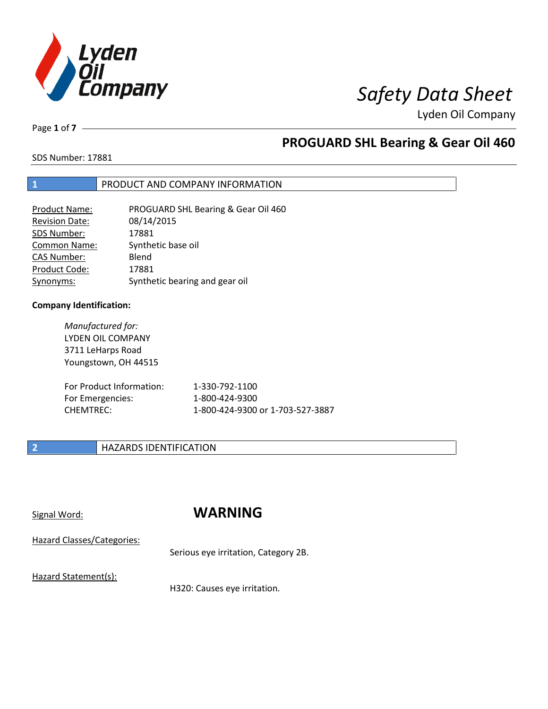

Page **1** of **7**

## **PROGUARD SHL Bearing & Gear Oil 460**

SDS Number: 17881

### **1** PRODUCT AND COMPANY INFORMATION

| <b>Product Name:</b>  | PROGUARD SHL Bearing & Gear Oil 460 |
|-----------------------|-------------------------------------|
| <b>Revision Date:</b> | 08/14/2015                          |
| SDS Number:           | 17881                               |
| <b>Common Name:</b>   | Synthetic base oil                  |
| <b>CAS Number:</b>    | Blend                               |
| Product Code:         | 17881                               |
| Synonyms:             | Synthetic bearing and gear oil      |

### **Company Identification:**

*Manufactured for:* LYDEN OIL COMPANY 3711 LeHarps Road Youngstown, OH 44515

| For Product Information: | 1-330-792-1100                   |
|--------------------------|----------------------------------|
| For Emergencies:         | 1-800-424-9300                   |
| CHEMTREC:                | 1-800-424-9300 or 1-703-527-3887 |

### **2 HAZARDS IDENTIFICATION**

## Signal Word: **WARNING**

Hazard Classes/Categories:

Serious eye irritation, Category 2B.

Hazard Statement(s):

H320: Causes eye irritation.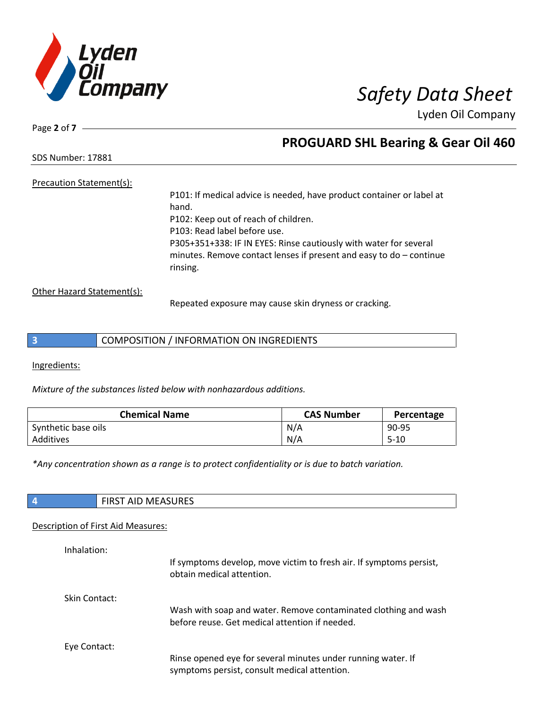

Page **2** of **7**

## **PROGUARD SHL Bearing & Gear Oil 460**

SDS Number: 17881

### Precaution Statement(s):

P101: If medical advice is needed, have product container or label at hand. P102: Keep out of reach of children. P103: Read label before use. P305+351+338: IF IN EYES: Rinse cautiously with water for several minutes. Remove contact lenses if present and easy to do – continue rinsing.

Other Hazard Statement(s):

Repeated exposure may cause skin dryness or cracking.

|  | COMPOSITION / INFORMATION ON INGREDIENTS |  |
|--|------------------------------------------|--|
|--|------------------------------------------|--|

Ingredients:

*Mixture of the substances listed below with nonhazardous additions.*

| <b>Chemical Name</b> | <b>CAS Number</b> | Percentage |
|----------------------|-------------------|------------|
| Synthetic base oils  | N/A               | 90-95      |
| Additives            | N/A               | $5 - 10$   |

*\*Any concentration shown as a range is to protect confidentiality or is due to batch variation.*

| FIRST AID MEASURES |
|--------------------|
|                    |

### Description of First Aid Measures:

| Inhalation:          | If symptoms develop, move victim to fresh air. If symptoms persist,<br>obtain medical attention.                  |
|----------------------|-------------------------------------------------------------------------------------------------------------------|
| <b>Skin Contact:</b> | Wash with soap and water. Remove contaminated clothing and wash<br>before reuse. Get medical attention if needed. |
| Eye Contact:         | Rinse opened eye for several minutes under running water. If<br>symptoms persist, consult medical attention.      |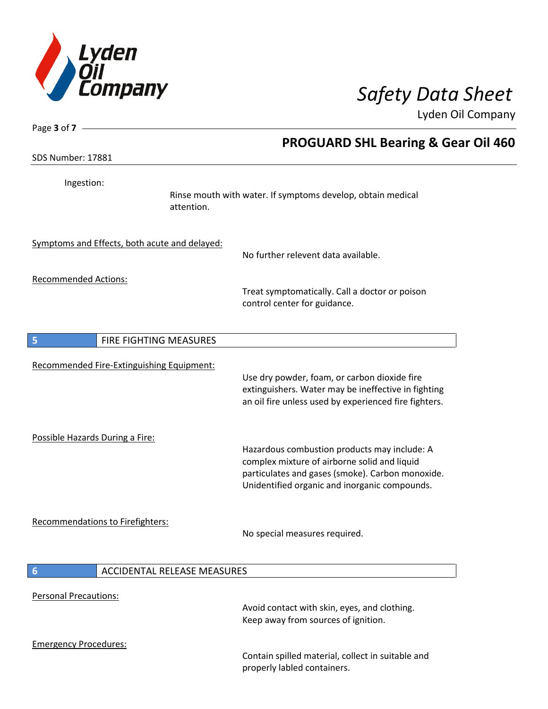

 $\overline{\phantom{a}}$ 

 $\overline{\phantom{a}}$ 

Lyden Oil Company

| Page 3 of 7 -                   |                                               |                                                                                                                                                                                                   |
|---------------------------------|-----------------------------------------------|---------------------------------------------------------------------------------------------------------------------------------------------------------------------------------------------------|
| SDS Number: 17881               |                                               | <b>PROGUARD SHL Bearing &amp; Gear Oil 460</b>                                                                                                                                                    |
|                                 |                                               |                                                                                                                                                                                                   |
| Ingestion:                      | attention.                                    | Rinse mouth with water. If symptoms develop, obtain medical                                                                                                                                       |
|                                 | Symptoms and Effects, both acute and delayed: |                                                                                                                                                                                                   |
|                                 |                                               | No further relevent data available.                                                                                                                                                               |
|                                 |                                               |                                                                                                                                                                                                   |
| <b>Recommended Actions:</b>     |                                               | Treat symptomatically. Call a doctor or poison<br>control center for guidance.                                                                                                                    |
| 5                               | FIRE FIGHTING MEASURES                        |                                                                                                                                                                                                   |
|                                 |                                               |                                                                                                                                                                                                   |
|                                 | Recommended Fire-Extinguishing Equipment:     | Use dry powder, foam, or carbon dioxide fire<br>extinguishers. Water may be ineffective in fighting<br>an oil fire unless used by experienced fire fighters.                                      |
| Possible Hazards During a Fire: |                                               | Hazardous combustion products may include: A<br>complex mixture of airborne solid and liquid<br>particulates and gases (smoke). Carbon monoxide.<br>Unidentified organic and inorganic compounds. |
|                                 | <b>Recommendations to Firefighters:</b>       | No special measures required.                                                                                                                                                                     |
| $6\phantom{1}6$                 | <b>ACCIDENTAL RELEASE MEASURES</b>            |                                                                                                                                                                                                   |
| <b>Personal Precautions:</b>    |                                               | Avoid contact with skin, eyes, and clothing.<br>Keep away from sources of ignition.                                                                                                               |
| <b>Emergency Procedures:</b>    |                                               | Contain spilled material, collect in suitable and<br>properly labled containers.                                                                                                                  |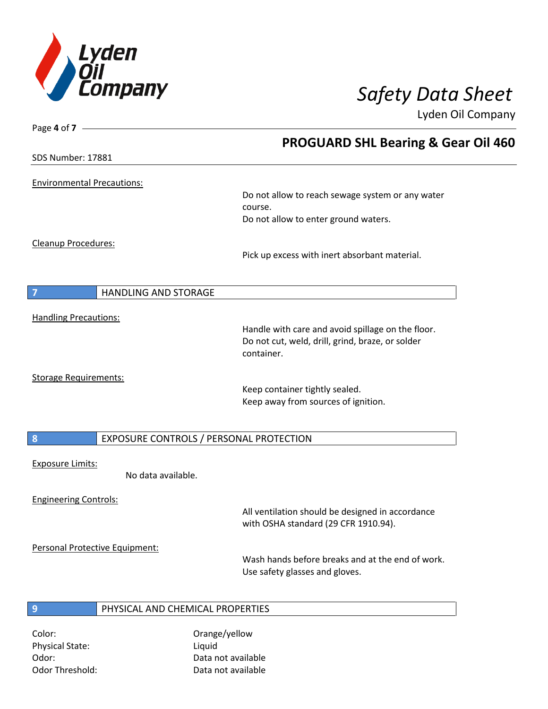

| Page 4 of $7 -$                                             |                                                                       |
|-------------------------------------------------------------|-----------------------------------------------------------------------|
|                                                             | <b>PROGUARD SHL Bearing &amp; Gear Oil 460</b>                        |
| <b>SDS Number: 17881</b>                                    |                                                                       |
|                                                             |                                                                       |
| <b>Environmental Precautions:</b>                           | Do not allow to reach sewage system or any water                      |
|                                                             | course.                                                               |
|                                                             | Do not allow to enter ground waters.                                  |
| Cleanup Procedures:                                         |                                                                       |
|                                                             | Pick up excess with inert absorbant material.                         |
|                                                             |                                                                       |
| $\overline{7}$<br><b>HANDLING AND STORAGE</b>               |                                                                       |
| <b>Handling Precautions:</b>                                |                                                                       |
|                                                             | Handle with care and avoid spillage on the floor.                     |
|                                                             | Do not cut, weld, drill, grind, braze, or solder<br>container.        |
|                                                             |                                                                       |
| <b>Storage Requirements:</b>                                |                                                                       |
|                                                             | Keep container tightly sealed.<br>Keep away from sources of ignition. |
|                                                             |                                                                       |
| $\boldsymbol{8}$<br>EXPOSURE CONTROLS / PERSONAL PROTECTION |                                                                       |
|                                                             |                                                                       |
| <b>Exposure Limits:</b><br>No data available.               |                                                                       |
|                                                             |                                                                       |
| <b>Engineering Controls:</b>                                |                                                                       |
|                                                             | All ventilation should be designed in accordance                      |
|                                                             | with OSHA standard (29 CFR 1910.94).                                  |
| Personal Protective Equipment:                              |                                                                       |
|                                                             | Wash hands before breaks and at the end of work.                      |
|                                                             | Use safety glasses and gloves.                                        |
| PHYSICAL AND CHEMICAL PROPERTIES<br>9                       |                                                                       |
|                                                             |                                                                       |

Physical State: Liquid Odor: Data not available Odor Threshold: Data not available

Color: Color: Color: Color: Color: Color: Color: Color: Color: Color: Color: Color: Color: Color: Color: Colo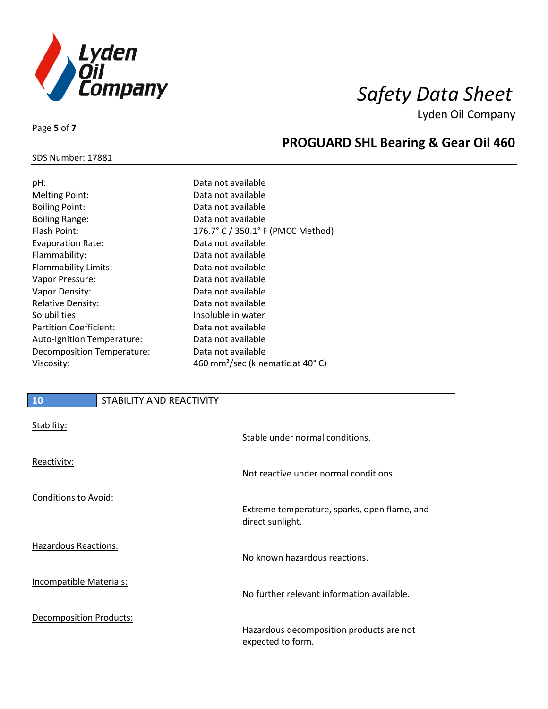

SDS Number: 17881

Page **5** of **7**

## **PROGUARD SHL Bearing & Gear Oil 460**

| pH:                               | Data not available                           |
|-----------------------------------|----------------------------------------------|
| <b>Melting Point:</b>             | Data not available                           |
| <b>Boiling Point:</b>             | Data not available                           |
| <b>Boiling Range:</b>             | Data not available                           |
| Flash Point:                      | 176.7° C / 350.1° F (PMCC Method)            |
| <b>Evaporation Rate:</b>          | Data not available                           |
| Flammability:                     | Data not available                           |
| <b>Flammability Limits:</b>       | Data not available                           |
| Vapor Pressure:                   | Data not available                           |
| Vapor Density:                    | Data not available                           |
| <b>Relative Density:</b>          | Data not available                           |
| Solubilities:                     | Insoluble in water                           |
| <b>Partition Coefficient:</b>     | Data not available                           |
| <b>Auto-Ignition Temperature:</b> | Data not available                           |
| Decomposition Temperature:        | Data not available                           |
| Viscosity:                        | 460 mm <sup>2</sup> /sec (kinematic at 40°C) |
|                                   |                                              |

# **10** STABILITY AND REACTIVITY Stability: Stable under normal conditions. Reactivity: Not reactive under normal conditions. Conditions to Avoid: Extreme temperature, sparks, open flame, and direct sunlight. Hazardous Reactions: No known hazardous reactions. Incompatible Materials: No further relevant information available. Decomposition Products: Hazardous decomposition products are not expected to form.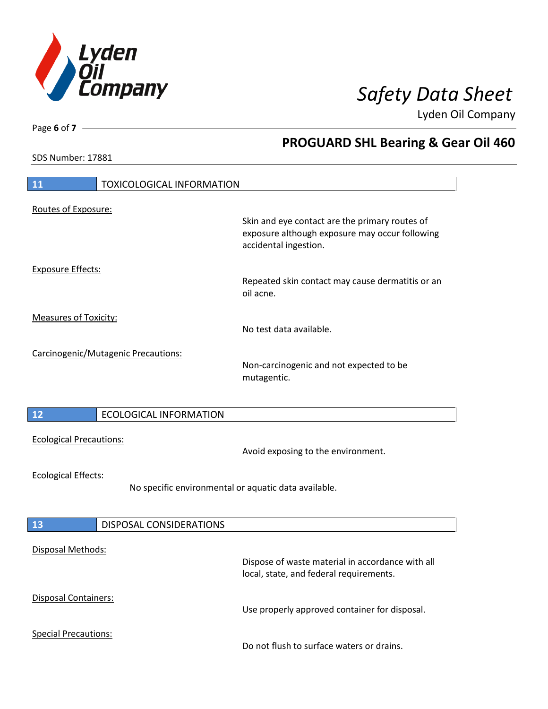

**PROGUARD SHL Bearing & Gear Oil 460**

Lyden Oil Company

SDS Number: 17881

Page **6** of **7**

# **11** TOXICOLOGICAL INFORMATION Routes of Exposure: Skin and eye contact are the primary routes of exposure although exposure may occur following accidental ingestion. Exposure Effects: Repeated skin contact may cause dermatitis or an oil acne. Measures of Toxicity: No test data available. Carcinogenic/Mutagenic Precautions: Non-carcinogenic and not expected to be mutagentic. **12** ECOLOGICAL INFORMATION Ecological Precautions: Avoid exposing to the environment. Ecological Effects: No specific environmental or aquatic data available. **13** DISPOSAL CONSIDERATIONS Disposal Methods: Dispose of waste material in accordance with all local, state, and federal requirements. Disposal Containers: Use properly approved container for disposal. Special Precautions: Do not flush to surface waters or drains.